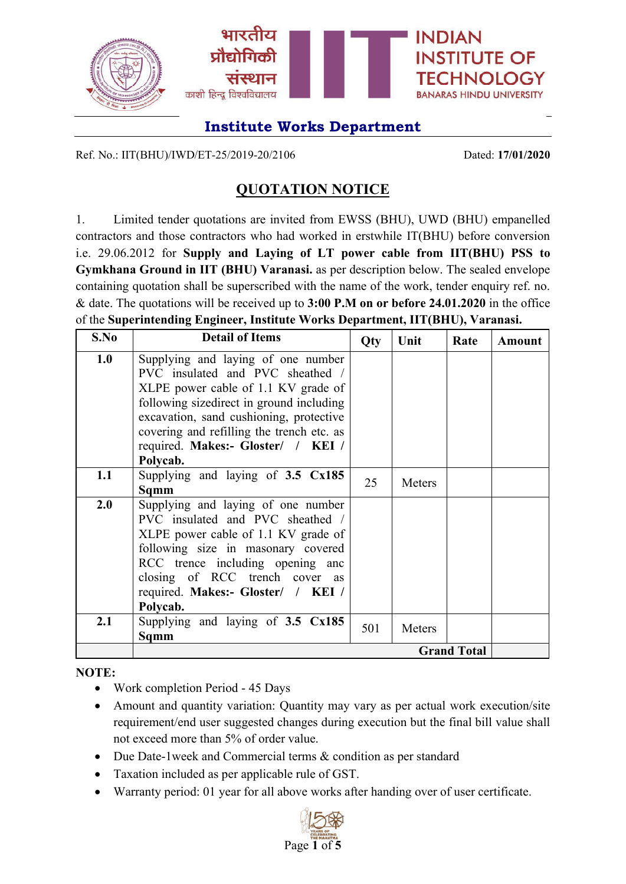

Ref. No.: IIT(BHU)/IWD/ET-25/2019-20/2106 Dated: **17/01/2020**

## **QUOTATION NOTICE**

1. Limited tender quotations are invited from EWSS (BHU), UWD (BHU) empanelled contractors and those contractors who had worked in erstwhile IT(BHU) before conversion i.e. 29.06.2012 for **Supply and Laying of LT power cable from IIT(BHU) PSS to Gymkhana Ground in IIT (BHU) Varanasi.** as per description below. The sealed envelope containing quotation shall be superscribed with the name of the work, tender enquiry ref. no. & date. The quotations will be received up to **3:00 P.M on or before 24.01.2020** in the office of the **Superintending Engineer, Institute Works Department, IIT(BHU), Varanasi.**

| S.No | <b>Detail of Items</b>                      | <b>Qty</b> | Unit   | Rate               | <b>Amount</b> |
|------|---------------------------------------------|------------|--------|--------------------|---------------|
| 1.0  | Supplying and laying of one number          |            |        |                    |               |
|      | PVC insulated and PVC sheathed /            |            |        |                    |               |
|      | XLPE power cable of 1.1 KV grade of         |            |        |                    |               |
|      | following sizedirect in ground including    |            |        |                    |               |
|      | excavation, sand cushioning, protective     |            |        |                    |               |
|      | covering and refilling the trench etc. as   |            |        |                    |               |
|      | required. Makes:- Gloster/ / KEI /          |            |        |                    |               |
|      | Polycab.                                    |            |        |                    |               |
| 1.1  | Supplying and laying of 3.5 Cx185           | 25         | Meters |                    |               |
|      | Sqmm                                        |            |        |                    |               |
| 2.0  | Supplying and laying of one number          |            |        |                    |               |
|      | PVC insulated and PVC sheathed /            |            |        |                    |               |
|      | XLPE power cable of 1.1 KV grade of         |            |        |                    |               |
|      | following size in masonary covered          |            |        |                    |               |
|      | RCC trence including opening and            |            |        |                    |               |
|      | closing of RCC trench cover as              |            |        |                    |               |
|      | required. Makes:- Gloster/ / KEI /          |            |        |                    |               |
|      | Polycab.                                    |            |        |                    |               |
| 2.1  | Supplying and laying of $3.5 \text{ Cx185}$ | 501        | Meters |                    |               |
|      | Sqmm                                        |            |        |                    |               |
|      |                                             |            |        | <b>Grand Total</b> |               |

**NOTE:**

- Work completion Period 45 Days
- Amount and quantity variation: Quantity may vary as per actual work execution/site requirement/end user suggested changes during execution but the final bill value shall not exceed more than 5% of order value.
- Due Date-1week and Commercial terms & condition as per standard
- Taxation included as per applicable rule of GST.
- Warranty period: 01 year for all above works after handing over of user certificate.

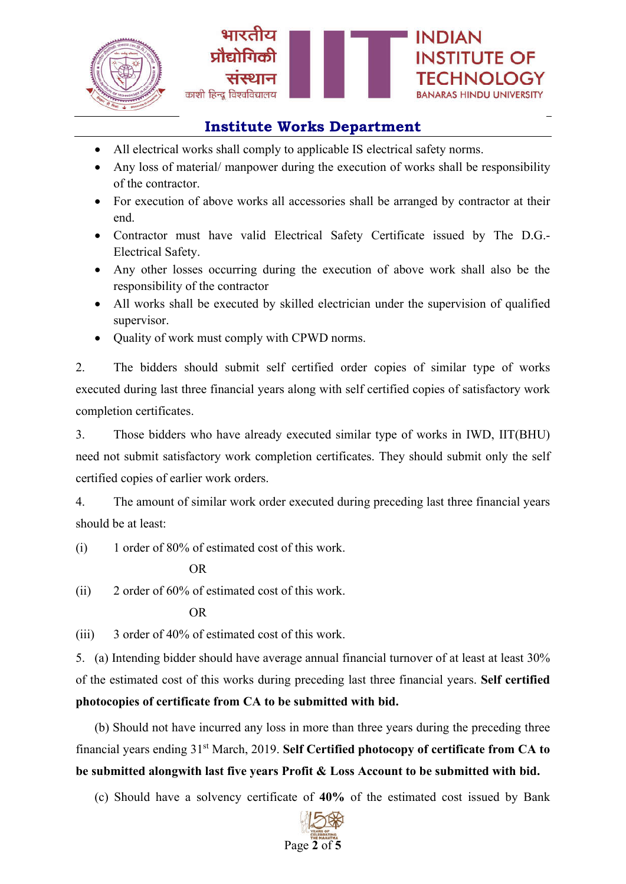



- All electrical works shall comply to applicable IS electrical safety norms.
- Any loss of material/ manpower during the execution of works shall be responsibility of the contractor.
- For execution of above works all accessories shall be arranged by contractor at their end.
- Contractor must have valid Electrical Safety Certificate issued by The D.G.- Electrical Safety.
- Any other losses occurring during the execution of above work shall also be the responsibility of the contractor
- All works shall be executed by skilled electrician under the supervision of qualified supervisor.
- Quality of work must comply with CPWD norms.

2. The bidders should submit self certified order copies of similar type of works executed during last three financial years along with self certified copies of satisfactory work completion certificates.

3. Those bidders who have already executed similar type of works in IWD, IIT(BHU) need not submit satisfactory work completion certificates. They should submit only the self certified copies of earlier work orders.

4. The amount of similar work order executed during preceding last three financial years should be at least:

(i) 1 order of 80% of estimated cost of this work.

### OR

(ii) 2 order of 60% of estimated cost of this work.

#### OR

(iii) 3 order of 40% of estimated cost of this work.

5. (a) Intending bidder should have average annual financial turnover of at least at least 30% of the estimated cost of this works during preceding last three financial years. **Self certified photocopies of certificate from CA to be submitted with bid.**

(b) Should not have incurred any loss in more than three years during the preceding three financial years ending 31st March, 2019. **Self Certified photocopy of certificate from CA to be submitted alongwith last five years Profit & Loss Account to be submitted with bid.**

(c) Should have a solvency certificate of **40%** of the estimated cost issued by Bank

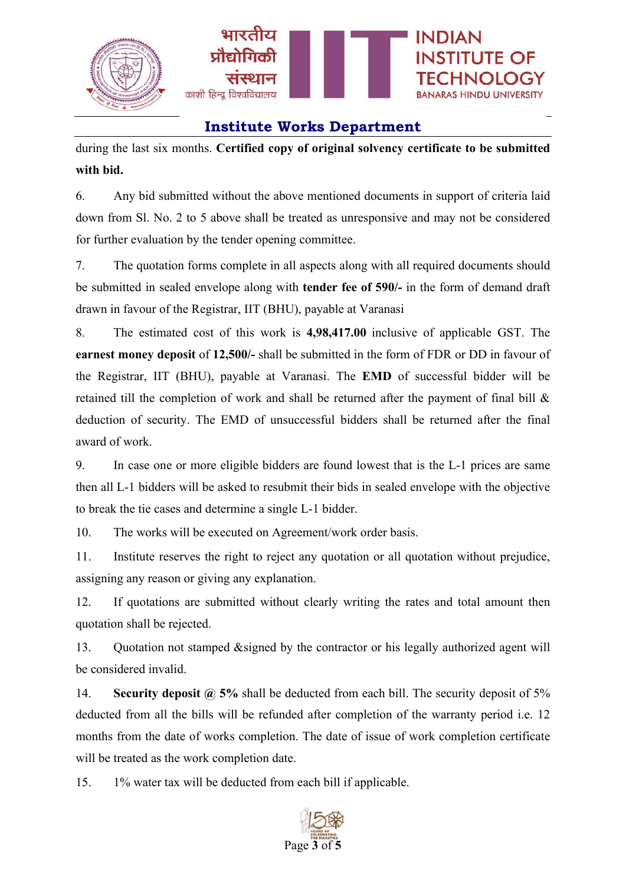

during the last six months. **Certified copy of original solvency certificate to be submitted with bid.**

6. Any bid submitted without the above mentioned documents in support of criteria laid down from Sl. No. 2 to 5 above shall be treated as unresponsive and may not be considered for further evaluation by the tender opening committee.

7. The quotation forms complete in all aspects along with all required documents should be submitted in sealed envelope along with **tender fee of 590/-** in the form of demand draft drawn in favour of the Registrar, IIT (BHU), payable at Varanasi

8. The estimated cost of this work is **4,98,417.00** inclusive of applicable GST. The **earnest money deposit** of **12,500/-** shall be submitted in the form of FDR or DD in favour of the Registrar, IIT (BHU), payable at Varanasi. The **EMD** of successful bidder will be retained till the completion of work and shall be returned after the payment of final bill & deduction of security. The EMD of unsuccessful bidders shall be returned after the final award of work.

9. In case one or more eligible bidders are found lowest that is the L-1 prices are same then all L-1 bidders will be asked to resubmit their bids in sealed envelope with the objective to break the tie cases and determine a single L-1 bidder.

10. The works will be executed on Agreement/work order basis.

11. Institute reserves the right to reject any quotation or all quotation without prejudice, assigning any reason or giving any explanation.

12. If quotations are submitted without clearly writing the rates and total amount then quotation shall be rejected.

13. Quotation not stamped &signed by the contractor or his legally authorized agent will be considered invalid.

14. **Security deposit @ 5%** shall be deducted from each bill. The security deposit of 5% deducted from all the bills will be refunded after completion of the warranty period i.e. 12 months from the date of works completion. The date of issue of work completion certificate will be treated as the work completion date.

15. 1% water tax will be deducted from each bill if applicable.

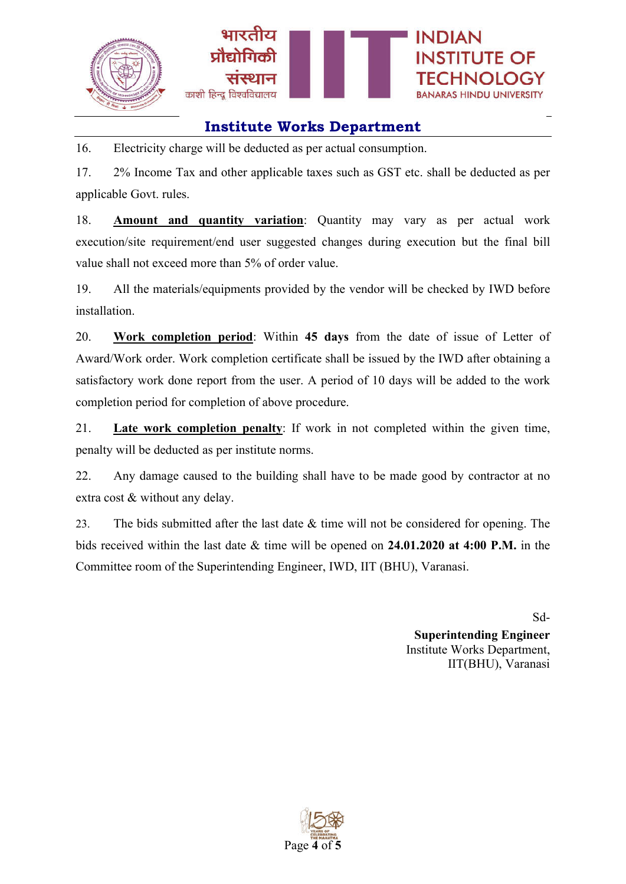

16. Electricity charge will be deducted as per actual consumption.

17. 2% Income Tax and other applicable taxes such as GST etc. shall be deducted as per applicable Govt. rules.

18. **Amount and quantity variation**: Quantity may vary as per actual work execution/site requirement/end user suggested changes during execution but the final bill value shall not exceed more than 5% of order value.

19. All the materials/equipments provided by the vendor will be checked by IWD before installation.

20. **Work completion period**: Within **45 days** from the date of issue of Letter of Award/Work order. Work completion certificate shall be issued by the IWD after obtaining a satisfactory work done report from the user. A period of 10 days will be added to the work completion period for completion of above procedure.

21. **Late work completion penalty**: If work in not completed within the given time, penalty will be deducted as per institute norms.

22. Any damage caused to the building shall have to be made good by contractor at no extra cost & without any delay.

23. The bids submitted after the last date & time will not be considered for opening. The bids received within the last date & time will be opened on **24.01.2020 at 4:00 P.M.** in the Committee room of the Superintending Engineer, IWD, IIT (BHU), Varanasi.

> Sd-**Superintending Engineer** Institute Works Department, IIT(BHU), Varanasi